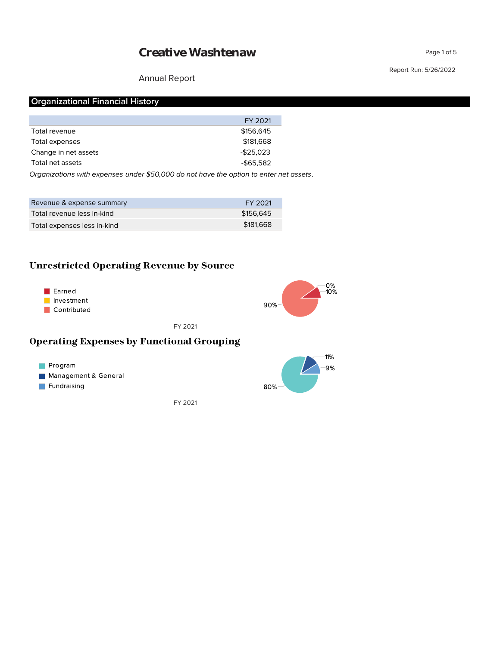#### Annual Report

Page 1 of 5

#### **Organizational Financial History**

|                      | FY 2021      |
|----------------------|--------------|
| Total revenue        | \$156,645    |
| Total expenses       | \$181,668    |
| Change in net assets | $-$25,023$   |
| Total net assets     | $-$ \$65.582 |
|                      |              |

*Organizations with expenses under \$50,000 do not have the option to enter net assets.*

| Revenue & expense summary   | FY 2021   |
|-----------------------------|-----------|
| Total revenue less in-kind  | \$156.645 |
| Total expenses less in-kind | \$181,668 |

#### **Unrestricted Operating Revenue by Source**





FY 2021

#### **Operating Expenses by Functional Grouping**



FY 2021

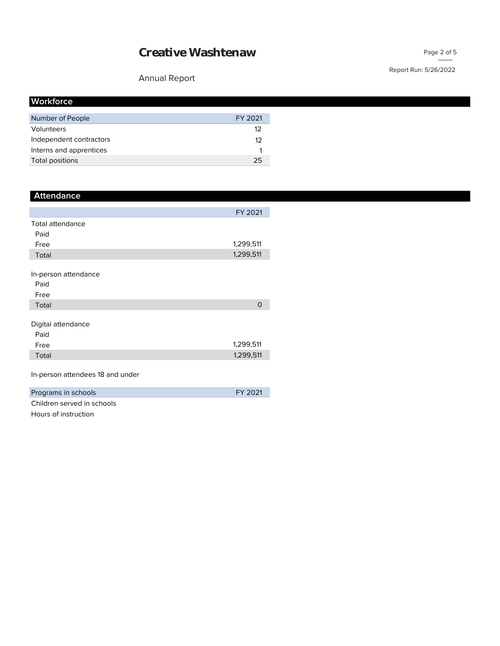## Annual Report

| <b>Workforce</b>        |         |
|-------------------------|---------|
| Number of People        | FY 2021 |
| Volunteers              | 12      |
| Independent contractors | 12      |
| Interns and apprentices |         |
| Total positions         | 25      |

| <b>Attendance</b>       |           |
|-------------------------|-----------|
|                         |           |
|                         | FY 2021   |
| <b>Total attendance</b> |           |
| Paid                    |           |
| Free                    | 1,299,511 |
| Total                   | 1,299,511 |
|                         |           |
| In-person attendance    |           |
| Paid                    |           |
| Free                    |           |
| Total                   | O         |
|                         |           |
| Digital attendance      |           |
| Paid                    |           |
| Free                    | 1,299,511 |
| Total                   | 1,299,511 |
|                         |           |

In-person attendees 18 and under

| Programs in schools        | FY 2021 |
|----------------------------|---------|
| Children served in schools |         |

red in schools Hours of instruction

### Page 2 of 5

#### Report Run: 5/26/2022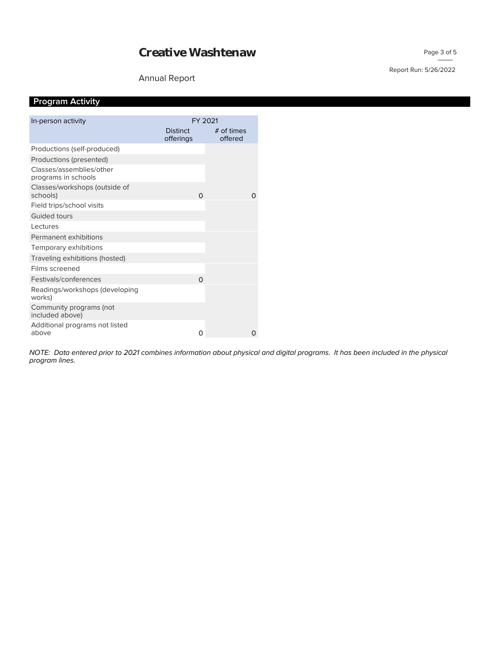#### Annual Report

# Report Run: 5/26/2022

## **Program Activity**

| In-person activity                              | FY 2021                      |                       |
|-------------------------------------------------|------------------------------|-----------------------|
|                                                 | <b>Distinct</b><br>offerings | # of times<br>offered |
| Productions (self-produced)                     |                              |                       |
| Productions (presented)                         |                              |                       |
| Classes/assemblies/other<br>programs in schools |                              |                       |
| Classes/workshops (outside of<br>schools)       | $\Omega$                     | O                     |
| Field trips/school visits                       |                              |                       |
| Guided tours                                    |                              |                       |
| Lectures                                        |                              |                       |
| Permanent exhibitions                           |                              |                       |
| Temporary exhibitions                           |                              |                       |
| Traveling exhibitions (hosted)                  |                              |                       |
| Films screened                                  |                              |                       |
| Festivals/conferences                           | Ω                            |                       |
| Readings/workshops (developing<br>works)        |                              |                       |
| Community programs (not<br>included above)      |                              |                       |
| Additional programs not listed<br>above         | 0                            | Ω                     |

*program lines. NOTE: Data entered prior to 2021 combines information about physical and digital programs. It has been included in the physical*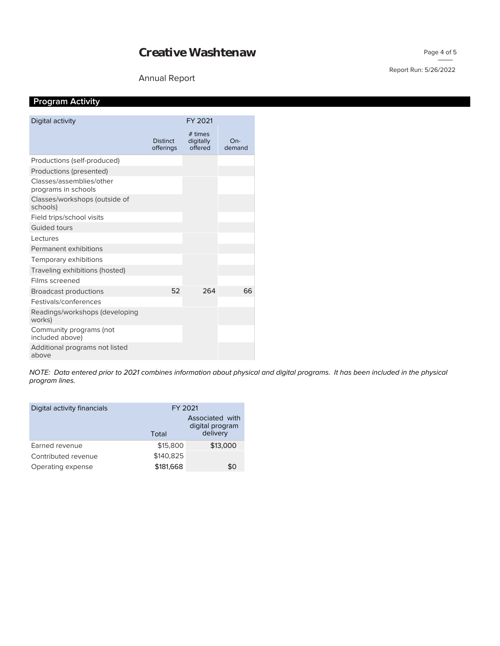#### Annual Report

#### Report Run: 5/26/2022

Page 4 of 5

## **Program Activity**

| Digital activity                                |                              | FY 2021                         |               |
|-------------------------------------------------|------------------------------|---------------------------------|---------------|
|                                                 | <b>Distinct</b><br>offerings | # times<br>digitally<br>offered | On-<br>demand |
| Productions (self-produced)                     |                              |                                 |               |
| Productions (presented)                         |                              |                                 |               |
| Classes/assemblies/other<br>programs in schools |                              |                                 |               |
| Classes/workshops (outside of<br>schools)       |                              |                                 |               |
| Field trips/school visits                       |                              |                                 |               |
| <b>Guided tours</b>                             |                              |                                 |               |
| Lectures                                        |                              |                                 |               |
| Permanent exhibitions                           |                              |                                 |               |
| Temporary exhibitions                           |                              |                                 |               |
| Traveling exhibitions (hosted)                  |                              |                                 |               |
| Films screened                                  |                              |                                 |               |
| <b>Broadcast productions</b>                    | 52                           | 264                             | 66            |
| Festivals/conferences                           |                              |                                 |               |
| Readings/workshops (developing<br>works)        |                              |                                 |               |
| Community programs (not<br>included above)      |                              |                                 |               |
| Additional programs not listed<br>above         |                              |                                 |               |

*program lines. NOTE: Data entered prior to 2021 combines information about physical and digital programs. It has been included in the physical* 

| Digital activity financials | FY 2021   |                                                |
|-----------------------------|-----------|------------------------------------------------|
|                             | Total     | Associated with<br>digital program<br>delivery |
| Earned revenue              | \$15,800  | \$13,000                                       |
| Contributed revenue         | \$140,825 |                                                |
| Operating expense           | \$181,668 | \$0                                            |